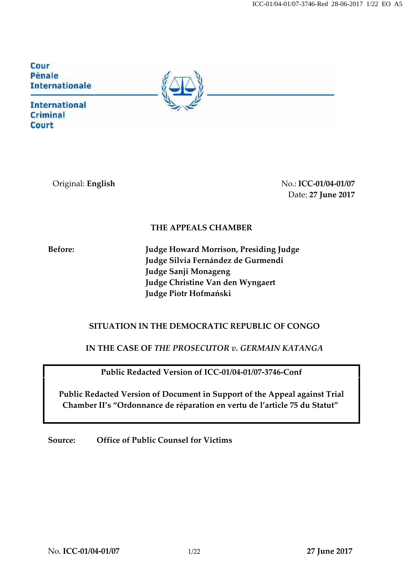Cour Pénale **Internationale International** Criminal Court

Original: **English** No.: **ICC-01/04-01/07** Date: **27 June 2017**

## **THE APPEALS CHAMBER**

**Before: Judge Howard Morrison, Presiding Judge Judge Silvia Fernández de Gurmendi Judge Sanji Monageng Judge Christine Van den Wyngaert Judge Piotr Hofmański**

# **SITUATION IN THE DEMOCRATIC REPUBLIC OF CONGO**

**IN THE CASE OF** *THE PROSECUTOR v. GERMAIN KATANGA*

**Public Redacted Version of ICC-01/04-01/07-3746-Conf**

**Public Redacted Version of Document in Support of the Appeal against Trial Chamber II's "Ordonnance de réparation en vertu de l'article 75 du Statut"**

**Source: Office of Public Counsel for Victims**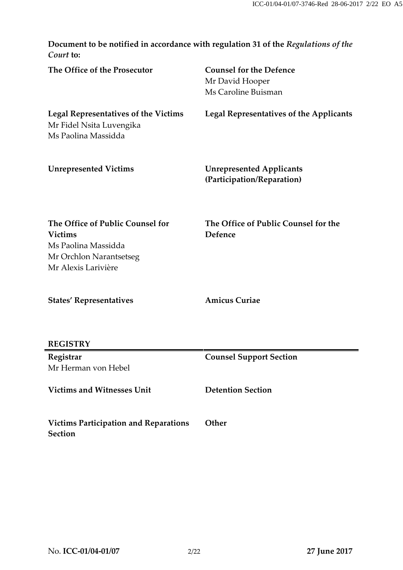| Document to be notified in accordance with regulation 31 of the Regulations of the<br>Court to:                             |                                                                          |
|-----------------------------------------------------------------------------------------------------------------------------|--------------------------------------------------------------------------|
| The Office of the Prosecutor                                                                                                | <b>Counsel for the Defence</b><br>Mr David Hooper<br>Ms Caroline Buisman |
| <b>Legal Representatives of the Victims</b><br>Mr Fidel Nsita Luvengika<br>Ms Paolina Massidda                              | <b>Legal Representatives of the Applicants</b>                           |
| <b>Unrepresented Victims</b>                                                                                                | <b>Unrepresented Applicants</b><br>(Participation/Reparation)            |
| The Office of Public Counsel for<br><b>Victims</b><br>Ms Paolina Massidda<br>Mr Orchlon Narantsetseg<br>Mr Alexis Larivière | The Office of Public Counsel for the<br>Defence                          |
| <b>States' Representatives</b>                                                                                              | <b>Amicus Curiae</b>                                                     |
| <b>REGISTRY</b>                                                                                                             |                                                                          |
| Registrar<br>Mr Herman von Hebel                                                                                            | <b>Counsel Support Section</b>                                           |
| <b>Victims and Witnesses Unit</b>                                                                                           | <b>Detention Section</b>                                                 |
| <b>Victims Participation and Reparations</b><br><b>Section</b>                                                              | Other                                                                    |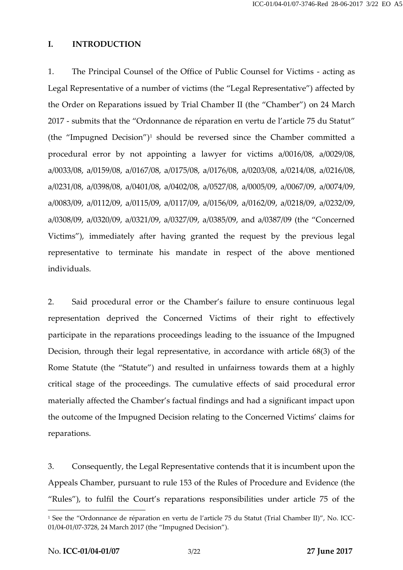### **I. INTRODUCTION**

1. The Principal Counsel of the Office of Public Counsel for Victims - acting as Legal Representative of a number of victims (the "Legal Representative") affected by the Order on Reparations issued by Trial Chamber II (the "Chamber") on 24 March 2017 - submits that the "Ordonnance de réparation en vertu de l'article 75 du Statut" (the "Impugned Decision")<sup>1</sup> should be reversed since the Chamber committed a procedural error by not appointing a lawyer for victims a/0016/08, a/0029/08, a/0033/08, a/0159/08, a/0167/08, a/0175/08, a/0176/08, a/0203/08, a/0214/08, a/0216/08, a/0231/08, a/0398/08, a/0401/08, a/0402/08, a/0527/08, a/0005/09, a/0067/09, a/0074/09, a/0083/09, a/0112/09, a/0115/09, a/0117/09, a/0156/09, a/0162/09, a/0218/09, a/0232/09, a/0308/09, a/0320/09, a/0321/09, a/0327/09, a/0385/09, and a/0387/09 (the "Concerned Victims"), immediately after having granted the request by the previous legal representative to terminate his mandate in respect of the above mentioned individuals.

2. Said procedural error or the Chamber's failure to ensure continuous legal representation deprived the Concerned Victims of their right to effectively participate in the reparations proceedings leading to the issuance of the Impugned Decision, through their legal representative, in accordance with article 68(3) of the Rome Statute (the "Statute") and resulted in unfairness towards them at a highly critical stage of the proceedings. The cumulative effects of said procedural error materially affected the Chamber's factual findings and had a significant impact upon the outcome of the Impugned Decision relating to the Concerned Victims' claims for reparations.

3. Consequently, the Legal Representative contends that it is incumbent upon the Appeals Chamber, pursuant to rule 153 of the Rules of Procedure and Evidence (the "Rules"), to fulfil the Court's reparations responsibilities under article 75 of the

<sup>1</sup> See the "Ordonnance de réparation en vertu de l'article 75 du Statut (Trial Chamber II)", No. ICC- 01/04-01/07-3728, 24 March 2017 (the "Impugned Decision").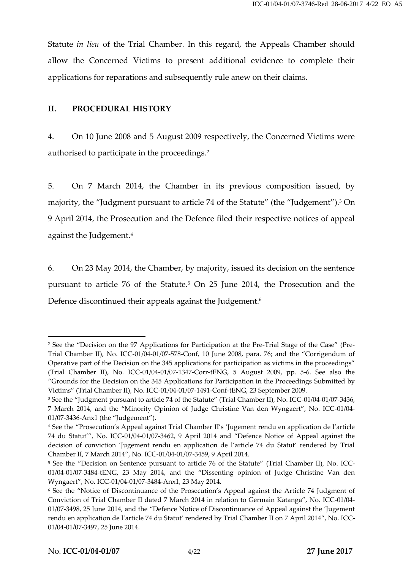Statute *in lieu* of the Trial Chamber. In this regard, the Appeals Chamber should allow the Concerned Victims to present additional evidence to complete their applications for reparations and subsequently rule anew on their claims.

### **II. PROCEDURAL HISTORY**

4. On 10 June 2008 and 5 August 2009 respectively, the Concerned Victims were authorised to participate in the proceedings.<sup>2</sup>

5. On 7 March 2014, the Chamber in its previous composition issued, by majority, the "Judgment pursuant to article 74 of the Statute" (the "Judgement").<sup>3</sup> On 9 April 2014, the Prosecution and the Defence filed their respective notices of appeal against the Judgement.<sup>4</sup>

6. On 23 May 2014, the Chamber, by majority, issued its decision on the sentence pursuant to article 76 of the Statute.<sup>5</sup> On 25 June 2014, the Prosecution and the Defence discontinued their appeals against the Judgement.<sup>6</sup>

<sup>2</sup> See the "Decision on the 97 Applications for Participation at the Pre-Trial Stage of the Case" (Pre- Trial Chamber II), No. ICC-01/04-01/07-578-Conf, 10 June 2008, para. 76; and the "Corrigendum of Operative part of the Decision on the 345 applications for participation as victims in the proceedings" (Trial Chamber II), No. ICC-01/04-01/07-1347-Corr-tENG, 5 August 2009, pp. 5-6. See also the "Grounds for the Decision on the 345 Applications for Participation in the Proceedings Submitted by Victims" (Trial Chamber II), No. ICC-01/04-01/07-1491-Conf-tENG, 23 September 2009.

<sup>3</sup> See the "Judgment pursuant to article 74 of the Statute" (Trial Chamber II), No. ICC-01/04-01/07-3436, 7 March 2014, and the "Minority Opinion of Judge Christine Van den Wyngaert", No. ICC-01/04- 01/07-3436-Anx1 (the "Judgement").

<sup>4</sup> See the "Prosecution's Appeal against Trial Chamber II's 'Jugement rendu en application de l'article 74 du Statut'", No. ICC-01/04-01/07-3462, 9 April 2014 and "Defence Notice of Appeal against the decision of conviction 'Jugement rendu en application de l'article 74 du Statut' rendered by Trial Chamber II, 7 March 2014", No. ICC-01/04-01/07-3459, 9 April 2014.

<sup>&</sup>lt;sup>5</sup> See the "Decision on Sentence pursuant to article 76 of the Statute" (Trial Chamber II), No. ICC-01/04-01/07-3484-tENG, 23 May 2014, and the "Dissenting opinion of Judge Christine Van den Wyngaert", No. ICC-01/04-01/07-3484-Anx1, 23 May 2014.

<sup>6</sup> See the "Notice of Discontinuance of the Prosecution's Appeal against the Article 74 Judgment of Conviction of Trial Chamber II dated 7 March 2014 in relation to Germain Katanga", No. ICC-01/04- 01/07-3498, 25 June 2014, and the "Defence Notice of Discontinuance of Appeal against the 'Jugement rendu en application de l'article 74 du Statut' rendered by Trial Chamber II on 7 April 2014", No. ICC- 01/04-01/07-3497, 25 June 2014.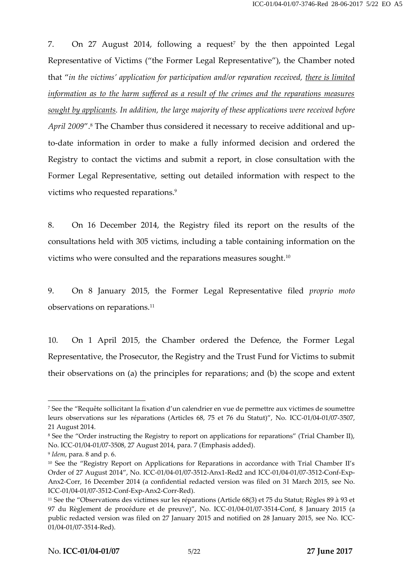7. On 27 August 2014, following a request<sup>7</sup> by the then appointed Legal Representative of Victims ("the Former Legal Representative"), the Chamber noted that "*in the victims' application for participation and/or reparation received, there is limited information as to the harm suffered as a result of the crimes and the reparations measures sought by applicants. In addition, the large majority of these applications were received before April 2009"*.<sup>8</sup> The Chamber thus considered it necessary to receive additional and upto-date information in order to make a fully informed decision and ordered the Registry to contact the victims and submit a report, in close consultation with the Former Legal Representative, setting out detailed information with respect to the victims who requested reparations.<sup>9</sup>

8. On 16 December 2014, the Registry filed its report on the results of the consultations held with 305 victims, including a table containing information on the victims who were consulted and the reparations measures sought.<sup>10</sup>

9. On 8 January 2015, the Former Legal Representative filed *proprio moto* observations on reparations.<sup>11</sup>

10. On 1 April 2015, the Chamber ordered the Defence, the Former Legal Representative, the Prosecutor, the Registry and the Trust Fund for Victims to submit their observations on (a) the principles for reparations; and (b) the scope and extent

<sup>7</sup> See the "Requête sollicitant la fixation d'un calendrier en vue de permettre aux victimes de soumettre leurs observations sur les réparations (Articles 68, 75 et 76 du Statut)", No. ICC-01/04-01/07-3507, 21 August 2014.

<sup>8</sup> See the "Order instructing the Registry to report on applications for reparations" (Trial Chamber II), No. ICC-01/04-01/07-3508, 27 August 2014, para. 7 (Emphasis added).

<sup>9</sup> *Idem*, para. 8 and p. 6.

<sup>&</sup>lt;sup>10</sup> See the "Registry Report on Applications for Reparations in accordance with Trial Chamber II's Order of 27 August 2014", No. ICC-01/04-01/07-3512-Anx1-Red2 and ICC-01/04-01/07-3512-Conf-Exp- Anx2-Corr, 16 December 2014 (a confidential redacted version was filed on 31 March 2015, see No. ICC-01/04-01/07-3512-Conf-Exp-Anx2-Corr-Red).

<sup>11</sup> See the "Observations des victimes sur les réparations (Article 68(3) et 75 du Statut; Règles 89 à 93 et 97 du Règlement de procédure et de preuve)", No. ICC-01/04-01/07-3514-Conf, 8 January 2015 (a public redacted version was filed on 27 January 2015 and notified on 28 January 2015, see No. ICC- 01/04-01/07-3514-Red).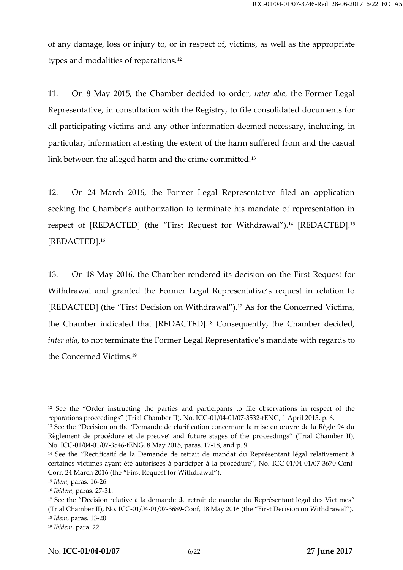of any damage, loss or injury to, or in respect of, victims, as well as the appropriate types and modalities of reparations.<sup>12</sup>

11. On 8 May 2015, the Chamber decided to order, *inter alia,* the Former Legal Representative, in consultation with the Registry, to file consolidated documents for all participating victims and any other information deemed necessary, including, in particular, information attesting the extent of the harm suffered from and the casual link between the alleged harm and the crime committed.<sup>13</sup>

12. On 24 March 2016, the Former Legal Representative filed an application seeking the Chamber's authorization to terminate his mandate of representation in respect of [REDACTED] (the "First Request for Withdrawal").<sup>14</sup> [REDACTED].<sup>15</sup> [REDACTED].<sup>16</sup>

13. On 18 May 2016, the Chamber rendered its decision on the First Request for Withdrawal and granted the Former Legal Representative's request in relation to [REDACTED] (the "First Decision on Withdrawal").<sup>17</sup> As for the Concerned Victims, the Chamber indicated that [REDACTED].<sup>18</sup> Consequently, the Chamber decided, *inter alia*, to not terminate the Former Legal Representative's mandate with regards to the Concerned Victims.<sup>19</sup>

<sup>&</sup>lt;sup>12</sup> See the "Order instructing the parties and participants to file observations in respect of the reparations proceedings" (Trial Chamber II), No. ICC-01/04-01/07-3532-tENG, 1 April 2015, p. 6.

<sup>&</sup>lt;sup>13</sup> See the "Decision on the 'Demande de clarification concernant la mise en œuvre de la Règle 94 du Règlement de procédure et de preuve' and future stages of the proceedings" (Trial Chamber II), No. ICC-01/04-01/07-3546-tENG, 8 May 2015, paras. 17-18, and p. 9.

<sup>&</sup>lt;sup>14</sup> See the "Rectificatif de la Demande de retrait de mandat du Représentant légal relativement à certaines victimes ayant été autorisées à participer à la procédure", No. ICC-01/04-01/07-3670-Conf- Corr, 24 March 2016 (the "First Request for Withdrawal").

<sup>15</sup> *Idem*, paras. 16-26.

<sup>16</sup> *Ibidem*, paras. 27-31.

<sup>&</sup>lt;sup>17</sup> See the "Décision relative à la demande de retrait de mandat du Représentant légal des Victimes" (Trial Chamber II), No. ICC-01/04-01/07-3689-Conf, 18 May 2016 (the "First Decision on Withdrawal"). <sup>18</sup> *Idem*, paras. 13-20.

<sup>19</sup> *Ibidem*, para. 22.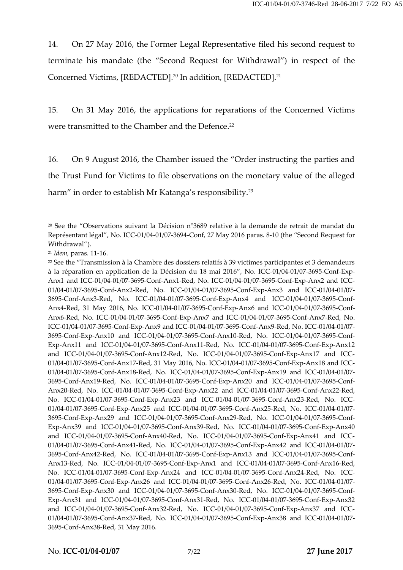14. On 27 May 2016, the Former Legal Representative filed his second request to terminate his mandate (the "Second Request for Withdrawal") in respect of the Concerned Victims, [REDACTED].<sup>20</sup> In addition, [REDACTED].<sup>21</sup>

15. On 31 May 2016, the applications for reparations of the Concerned Victims were transmitted to the Chamber and the Defence.<sup>22</sup>

16. On 9 August 2016, the Chamber issued the "Order instructing the parties and the Trust Fund for Victims to file observations on the monetary value of the alleged harm" in order to establish Mr Katanga's responsibility.<sup>23</sup>

<sup>20</sup> See the "Observations suivant la Décision n°3689 relative à la demande de retrait de mandat du Représentant légal", No. ICC-01/04-01/07-3694-Conf, 27 May 2016 paras. 8-10 (the "Second Request for Withdrawal").

<sup>21</sup> *Idem,* paras. 11-16.

<sup>22</sup> See the "Transmission à la Chambre des dossiers relatifs à 39 victimes participantes et 3 demandeurs à la réparation en application de la Décision du 18 mai 2016", No. ICC-01/04-01/07-3695-Conf-Exp- Anx1 and ICC-01/04-01/07-3695-Conf-Anx1-Red, No. ICC-01/04-01/07-3695-Conf-Exp-Anx2 and ICC- 01/04-01/07-3695-Conf-Anx2-Red, No. ICC-01/04-01/07-3695-Conf-Exp-Anx3 and ICC-01/04-01/07- 3695-Conf-Anx3-Red, No. ICC-01/04-01/07-3695-Conf-Exp-Anx4 and ICC-01/04-01/07-3695-Conf- Anx4-Red, 31 May 2016, No. ICC-01/04-01/07-3695-Conf-Exp-Anx6 and ICC-01/04-01/07-3695-Conf- Anx6-Red, No. ICC-01/04-01/07-3695-Conf-Exp-Anx7 and ICC-01/04-01/07-3695-Conf-Anx7-Red, No. ICC-01/04-01/07-3695-Conf-Exp-Anx9 and ICC-01/04-01/07-3695-Conf-Anx9-Red, No. ICC-01/04-01/07- 3695-Conf-Exp-Anx10 and ICC-01/04-01/07-3695-Conf-Anx10-Red, No. ICC-01/04-01/07-3695-Conf- Exp-Anx11 and ICC-01/04-01/07-3695-Conf-Anx11-Red, No. ICC-01/04-01/07-3695-Conf-Exp-Anx12 and ICC-01/04-01/07-3695-Conf-Anx12-Red, No. ICC-01/04-01/07-3695-Conf-Exp-Anx17 and ICC- 01/04-01/07-3695-Conf-Anx17-Red, 31 May 2016, No. ICC-01/04-01/07-3695-Conf-Exp-Anx18 and ICC- 01/04-01/07-3695-Conf-Anx18-Red, No. ICC-01/04-01/07-3695-Conf-Exp-Anx19 and ICC-01/04-01/07- 3695-Conf-Anx19-Red, No. ICC-01/04-01/07-3695-Conf-Exp-Anx20 and ICC-01/04-01/07-3695-Conf- Anx20-Red, No. ICC-01/04-01/07-3695-Conf-Exp-Anx22 and ICC-01/04-01/07-3695-Conf-Anx22-Red, No. ICC-01/04-01/07-3695-Conf-Exp-Anx23 and ICC-01/04-01/07-3695-Conf-Anx23-Red, No. ICC- 01/04-01/07-3695-Conf-Exp-Anx25 and ICC-01/04-01/07-3695-Conf-Anx25-Red, No. ICC-01/04-01/07- 3695-Conf-Exp-Anx29 and ICC-01/04-01/07-3695-Conf-Anx29-Red, No. ICC-01/04-01/07-3695-Conf- Exp-Anx39 and ICC-01/04-01/07-3695-Conf-Anx39-Red, No. ICC-01/04-01/07-3695-Conf-Exp-Anx40 and ICC-01/04-01/07-3695-Conf-Anx40-Red, No. ICC-01/04-01/07-3695-Conf-Exp-Anx41 and ICC- 01/04-01/07-3695-Conf-Anx41-Red, No. ICC-01/04-01/07-3695-Conf-Exp-Anx42 and ICC-01/04-01/07- 3695-Conf-Anx42-Red, No. ICC-01/04-01/07-3695-Conf-Exp-Anx13 and ICC-01/04-01/07-3695-Conf- Anx13-Red, No. ICC-01/04-01/07-3695-Conf-Exp-Anx1 and ICC-01/04-01/07-3695-Conf-Anx16-Red, No. ICC-01/04-01/07-3695-Conf-Exp-Anx24 and ICC-01/04-01/07-3695-Conf-Anx24-Red, No. ICC- 01/04-01/07-3695-Conf-Exp-Anx26 and ICC-01/04-01/07-3695-Conf-Anx26-Red, No. ICC-01/04-01/07- 3695-Conf-Exp-Anx30 and ICC-01/04-01/07-3695-Conf-Anx30-Red, No. ICC-01/04-01/07-3695-Conf- Exp-Anx31 and ICC-01/04-01/07-3695-Conf-Anx31-Red, No. ICC-01/04-01/07-3695-Conf-Exp-Anx32 and ICC-01/04-01/07-3695-Conf-Anx32-Red, No. ICC-01/04-01/07-3695-Conf-Exp-Anx37 and ICC- 01/04-01/07-3695-Conf-Anx37-Red, No. ICC-01/04-01/07-3695-Conf-Exp-Anx38 and ICC-01/04-01/07- 3695-Conf-Anx38-Red, 31 May 2016.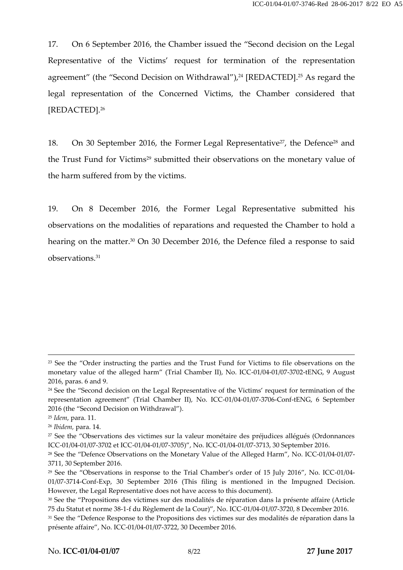17. On 6 September 2016, the Chamber issued the "Second decision on the Legal Representative of the Victims' request for termination of the representation agreement" (the "Second Decision on Withdrawal"),<sup>24</sup> [REDACTED].<sup>25</sup> As regard the legal representation of the Concerned Victims, the Chamber considered that [REDACTED].<sup>26</sup>

18. On 30 September 2016, the Former Legal Representative<sup>27</sup>, the Defence<sup>28</sup> and the Trust Fund for Victims<sup>29</sup> submitted their observations on the monetary value of the harm suffered from by the victims.

19. On 8 December 2016, the Former Legal Representative submitted his observations on the modalities of reparations and requested the Chamber to hold a hearing on the matter.<sup>30</sup> On 30 December 2016, the Defence filed a response to said observations.<sup>31</sup>

<sup>&</sup>lt;sup>23</sup> See the "Order instructing the parties and the Trust Fund for Victims to file observations on the monetary value of the alleged harm" (Trial Chamber II), No. ICC-01/04-01/07-3702-tENG, 9 August 2016, paras. 6 and 9.

<sup>24</sup> See the "Second decision on the Legal Representative of the Victims' request for termination of the representation agreement" (Trial Chamber II), No. ICC-01/04-01/07-3706-Conf-tENG, 6 September 2016 (the "Second Decision on Withdrawal").

<sup>25</sup> *Idem*, para. 11.

<sup>26</sup> *Ibidem,* para. 14.

<sup>27</sup> See the "Observations des victimes sur la valeur monétaire des préjudices allégués (Ordonnances ICC-01/04-01/07-3702 et ICC-01/04-01/07-3705)", No. ICC-01/04-01/07-3713, 30 September 2016.

<sup>&</sup>lt;sup>28</sup> See the "Defence Observations on the Monetary Value of the Alleged Harm", No. ICC-01/04-01/07-3711, 30 September 2016.

<sup>29</sup> See the "Observations in response to the Trial Chamber's order of 15 July 2016", No. ICC-01/04- 01/07-3714-Conf-Exp, 30 September 2016 (This filing is mentioned in the Impugned Decision. However, the Legal Representative does not have access to this document).

<sup>30</sup> See the "Propositions des victimes sur des modalités de réparation dans la présente affaire (Article 75 du Statut et norme 38-1-f du Règlement de la Cour)", No. ICC-01/04-01/07-3720, 8 December 2016.

<sup>&</sup>lt;sup>31</sup> See the "Defence Response to the Propositions des victimes sur des modalités de réparation dans la présente affaire", No. ICC-01/04-01/07-3722, 30 December 2016.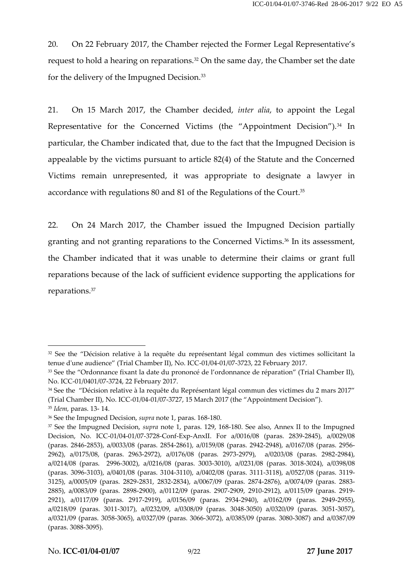20. On 22 February 2017, the Chamber rejected the Former Legal Representative's request to hold a hearing on reparations.<sup>32</sup> On the same day, the Chamber set the date for the delivery of the Impugned Decision.<sup>33</sup>

21. On 15 March 2017, the Chamber decided, *inter alia*, to appoint the Legal Representative for the Concerned Victims (the "Appointment Decision").<sup>34</sup> In particular, the Chamber indicated that, due to the fact that the Impugned Decision is appealable by the victims pursuant to article 82(4) of the Statute and the Concerned Victims remain unrepresented, it was appropriate to designate a lawyer in accordance with regulations 80 and 81 of the Regulations of the Court.<sup>35</sup>

22. On 24 March 2017, the Chamber issued the Impugned Decision partially granting and not granting reparations to the Concerned Victims.<sup>36</sup> In its assessment, the Chamber indicated that it was unable to determine their claims or grant full reparations because of the lack of sufficient evidence supporting the applications for reparations.<sup>37</sup>

<sup>32</sup> See the "Décision relative à la requête du représentant légal commun des victimes sollicitant la tenue d'une audience" (Trial Chamber II), No. ICC-01/04-01/07-3723, 22 February 2017.

<sup>33</sup> See the "Ordonnance fixant la date du prononcé de l'ordonnance de réparation" (Trial Chamber II), No. ICC-01/0401/07-3724, 22 February 2017.

<sup>34</sup> See the "Décision relative à la requête du Représentant légal commun des victimes du 2 mars 2017" (Trial Chamber II), No. ICC-01/04-01/07-3727, 15 March 2017 (the "Appointment Decision").

<sup>35</sup> *Idem,* paras. 13- 14.

<sup>36</sup> See the Impugned Decision, *supra* note 1, paras. 168-180.

<sup>37</sup> See the Impugned Decision, *supra* note 1, paras. 129, 168-180. See also, Annex II to the Impugned Decision, No. ICC-01/04-01/07-3728-Conf-Exp-AnxII. For a/0016/08 (paras. 2839-2845), a/0029/08 (paras. 2846-2853), a/0033/08 (paras. 2854-2861), a/0159/08 (paras. 2942-2948), a/0167/08 (paras. 2956- 2962), a/0175/08, (paras. 2963-2972), a/0176/08 (paras. 2973-2979), a/0203/08 (paras. 2982-2984), a/0214/08 (paras. 2996-3002), a/0216/08 (paras. 3003-3010), a/0231/08 (paras. 3018-3024), a/0398/08 (paras. 3096-3103), a/0401/08 (paras. 3104-3110), a/0402/08 (paras. 3111-3118), a/0527/08 (paras. 3119- 3125), a/0005/09 (paras. 2829-2831, 2832-2834), a/0067/09 (paras. 2874-2876), a/0074/09 (paras. 2883- 2885), a/0083/09 (paras. 2898-2900), a/0112/09 (paras. 2907-2909, 2910-2912), a/0115/09 (paras. 2919- 2921), a/0117/09 (paras. 2917-2919), a/0156/09 (paras. 2934-2940), a/0162/09 (paras. 2949-2955), a/0218/09 (paras. 3011-3017), a/0232/09, a/0308/09 (paras. 3048-3050) a/0320/09 (paras. 3051-3057), a/0321/09 (paras. 3058-3065), a/0327/09 (paras. 3066-3072), a/0385/09 (paras. 3080-3087) and a/0387/09 (paras. 3088-3095).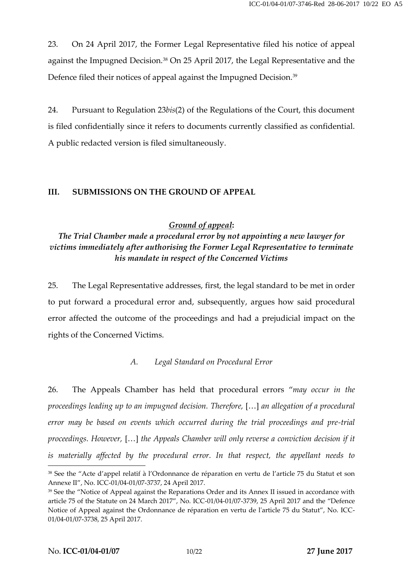23. On 24 April 2017, the Former Legal Representative filed his notice of appeal against the Impugned Decision.<sup>38</sup> On 25 April 2017, the Legal Representative and the Defence filed their notices of appeal against the Impugned Decision.<sup>39</sup>

24. Pursuant to Regulation 23*bis*(2) of the Regulations of the Court, this document is filed confidentially since it refers to documents currently classified as confidential. A public redacted version is filed simultaneously.

#### **III. SUBMISSIONS ON THE GROUND OF APPEAL**

*Ground of appeal***:**

*The Trial Chamber made a procedural error by not appointing a new lawyer for victims immediately after authorising the Former Legal Representative to terminate his mandate in respect of the Concerned Victims*

25. The Legal Representative addresses, first, the legal standard to be met in order to put forward a procedural error and, subsequently, argues how said procedural error affected the outcome of the proceedings and had a prejudicial impact on the rights of the Concerned Victims.

#### *A. Legal Standard on Procedural Error*

26. The Appeals Chamber has held that procedural errors "*may occur in the proceedings leading up to an impugned decision. Therefore,* […] *an allegation of a procedural error may be based on events which occurred during the trial proceedings and pre-trial proceedings. However,* […] *the Appeals Chamber will only reverse a conviction decision if it is materially affected by the procedural error. In that respect, the appellant needs to*

<sup>38</sup> See the "Acte d'appel relatif à l'Ordonnance de réparation en vertu de l'article 75 du Statut et son Annexe II", No. ICC-01/04-01/07-3737, 24 April 2017.

<sup>&</sup>lt;sup>39</sup> See the "Notice of Appeal against the Reparations Order and its Annex II issued in accordance with article 75 of the Statute on 24 March 2017", No. ICC-01/04-01/07-3739, 25 April 2017 and the "Defence Notice of Appeal against the Ordonnance de réparation en vertu de l'article 75 du Statut", No. ICC- 01/04-01/07-3738, 25 April 2017.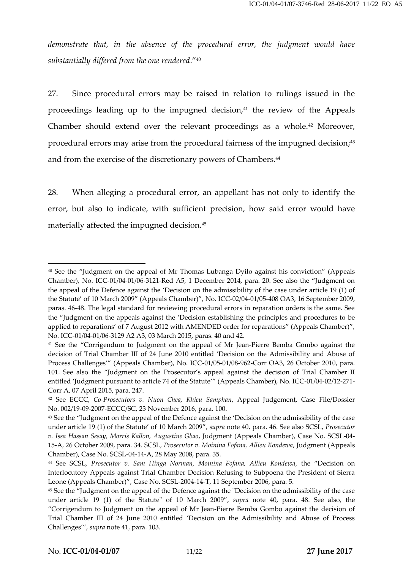*demonstrate that, in the absence of the procedural error, the judgment would have substantially differed from the one rendered*." 40

27. Since procedural errors may be raised in relation to rulings issued in the proceedings leading up to the impugned decision, $41$  the review of the Appeals Chamber should extend over the relevant proceedings as a whole.<sup>42</sup> Moreover, procedural errors may arise from the procedural fairness of the impugned decision;<sup>43</sup> and from the exercise of the discretionary powers of Chambers.<sup>44</sup>

28. When alleging a procedural error, an appellant has not only to identify the error, but also to indicate, with sufficient precision, how said error would have materially affected the impugned decision.<sup>45</sup>

<sup>40</sup> See the "Judgment on the appeal of Mr Thomas Lubanga Dyilo against his conviction" (Appeals Chamber), No. ICC-01/04-01/06-3121-Red A5, 1 December 2014, para. 20. See also the "Judgment on the appeal of the Defence against the 'Decision on the admissibility of the case under article 19 (1) of the Statute' of 10 March 2009" (Appeals Chamber)", No. ICC-02/04-01/05-408 OA3, 16 September 2009, paras. 46-48. The legal standard for reviewing procedural errors in reparation orders is the same. See the "Judgment on the appeals against the 'Decision establishing the principles and procedures to be applied to reparations' of 7 August 2012 with AMENDED order for reparations" (Appeals Chamber)", No. ICC-01/04-01/06-3129 A2 A3, 03 March 2015, paras. 40 and 42.

<sup>41</sup> See the "Corrigendum to Judgment on the appeal of Mr Jean-Pierre Bemba Gombo against the decision of Trial Chamber III of 24 June 2010 entitled 'Decision on the Admissibility and Abuse of Process Challenges'" (Appeals Chamber), No. ICC-01/05-01/08-962-Corr OA3, 26 October 2010, para. 101. See also the "Judgment on the Prosecutor's appeal against the decision of Trial Chamber II entitled 'Judgment pursuant to article 74 of the Statute'" (Appeals Chamber), No. ICC-01/04-02/12-271- Corr A, 07 April 2015, para. 247.

<sup>42</sup> See ECCC, *Co-Prosecutors v. Nuon Chea, Khieu Samphan*, Appeal Judgement, Case File/Dossier No. 002/19-09-2007-ECCC/SC, 23 November 2016, para. 100.

<sup>43</sup> See the "Judgment on the appeal of the Defence against the 'Decision on the admissibility of the case under article 19 (1) of the Statute' of 10 March 2009", *supra* note 40, para. 46. See also SCSL, *Prosecutor v. Issa Hassan Sesay, Morris Kallon, Augustine Gbao*, Judgment (Appeals Chamber), Case No. SCSL-04- 15-A, 26 October 2009, para. 34. SCSL, *Prosecutor v. Moinina Fofana, Allieu Kondewa*, Judgment (Appeals Chamber), Case No. SCSL-04-14-A, 28 May 2008, para. 35.

<sup>44</sup> See SCSL, *Prosecutor v. Sam Hinga Norman, Moinina Fofana, Allieu Kondewa*, the "Decision on Interlocutory Appeals against Trial Chamber Decision Refusing to Subpoena the President of Sierra Leone (Appeals Chamber)", Case No. SCSL-2004-14-T, 11 September 2006, para. 5.

<sup>45</sup> See the "Judgment on the appeal of the Defence against the "Decision on the admissibility of the case under article 19 (1) of the Statute" of 10 March 2009", *supra* note 40, para. 48. See also, the "Corrigendum to Judgment on the appeal of Mr Jean-Pierre Bemba Gombo against the decision of Trial Chamber III of 24 June 2010 entitled 'Decision on the Admissibility and Abuse of Process Challenges'", *supra* note 41, para. 103.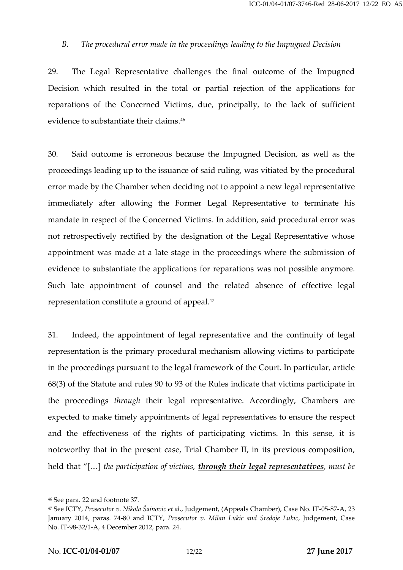## *B. The procedural error made in the proceedings leading to the Impugned Decision*

29. The Legal Representative challenges the final outcome of the Impugned Decision which resulted in the total or partial rejection of the applications for reparations of the Concerned Victims, due, principally, to the lack of sufficient evidence to substantiate their claims.<sup>46</sup>

30. Said outcome is erroneous because the Impugned Decision, as well as the proceedings leading up to the issuance of said ruling, was vitiated by the procedural error made by the Chamber when deciding not to appoint a new legal representative immediately after allowing the Former Legal Representative to terminate his mandate in respect of the Concerned Victims. In addition, said procedural error was not retrospectively rectified by the designation of the Legal Representative whose appointment was made at a late stage in the proceedings where the submission of evidence to substantiate the applications for reparations was not possible anymore. Such late appointment of counsel and the related absence of effective legal representation constitute a ground of appeal.<sup>47</sup>

31. Indeed, the appointment of legal representative and the continuity of legal representation is the primary procedural mechanism allowing victims to participate in the proceedings pursuant to the legal framework of the Court. In particular, article 68(3) of the Statute and rules 90 to 93 of the Rules indicate that victims participate in the proceedings *through* their legal representative. Accordingly, Chambers are expected to make timely appointments of legal representatives to ensure the respect and the effectiveness of the rights of participating victims. In this sense, it is noteworthy that in the present case, Trial Chamber II, in its previous composition, held that "[…] *the participation of victims, through their legal representatives, must be*

<sup>46</sup> See para. 22 and footnote 37.

<sup>47</sup> See ICTY, *Prosecutor v. Nikola Šainovic et al*., Judgement, (Appeals Chamber), Case No. IT-05-87-A, 23 January 2014, paras. 74-80 and ICTY, *Prosecutor v. Milan Lukic and Sredoje Lukic*, Judgement, Case No. IT-98-32/1-A, 4 December 2012, para. 24.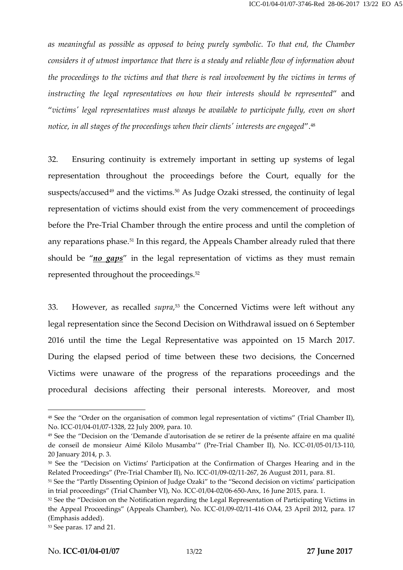*as meaningful as possible as opposed to being purely symbolic. To that end, the Chamber considers it of utmost importance that there is a steady and reliable flow of information about the proceedings to the victims and that there is real involvement by the victims in terms of instructing the legal representatives on how their interests should be represented*" and "*victims' legal representatives must always be available to participate fully, even on short notice, in all stages of the proceedings when their clients' interests are engaged*".<sup>48</sup>

32. Ensuring continuity is extremely important in setting up systems of legal representation throughout the proceedings before the Court, equally for the suspects/accused<sup>49</sup> and the victims.<sup>50</sup> As Judge Ozaki stressed, the continuity of legal representation of victims should exist from the very commencement of proceedings before the Pre-Trial Chamber through the entire process and until the completion of any reparations phase.<sup>51</sup> In this regard, the Appeals Chamber already ruled that there should be "*no gaps*" in the legal representation of victims as they must remain represented throughout the proceedings.<sup>52</sup>

33. However, as recalled *supra*,<sup>53</sup> the Concerned Victims were left without any legal representation since the Second Decision on Withdrawal issued on 6 September 2016 until the time the Legal Representative was appointed on 15 March 2017. During the elapsed period of time between these two decisions, the Concerned Victims were unaware of the progress of the reparations proceedings and the procedural decisions affecting their personal interests. Moreover, and most

<sup>48</sup> See the "Order on the organisation of common legal representation of victims" (Trial Chamber II), No. ICC-01/04-01/07-1328, 22 July 2009, para. 10.

<sup>49</sup> See the "Decision on the 'Demande d'autorisation de se retirer de la présente affaire en ma qualité de conseil de monsieur Aimé Kilolo Musamba'" (Pre-Trial Chamber II), No. ICC-01/05-01/13-110, 20 January 2014, p. 3.

<sup>50</sup> See the "Decision on Victims' Participation at the Confirmation of Charges Hearing and in the Related Proceedings" (Pre-Trial Chamber II), No. ICC-01/09-02/11-267, 26 August 2011, para. 81.

<sup>51</sup> See the "Partly Dissenting Opinion of Judge Ozaki" to the "Second decision on victims' participation in trial proceedings" (Trial Chamber VI), No. ICC-01/04-02/06-650-Anx, 16 June 2015, para. 1.

<sup>&</sup>lt;sup>52</sup> See the "Decision on the Notification regarding the Legal Representation of Participating Victims in the Appeal Proceedings" (Appeals Chamber), No. ICC-01/09-02/11-416 OA4, 23 April 2012, para. 17 (Emphasis added).

<sup>53</sup> See paras. 17 and 21.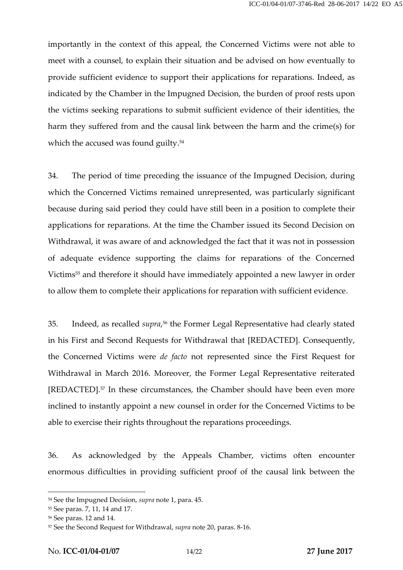importantly in the context of this appeal, the Concerned Victims were not able to meet with a counsel, to explain their situation and be advised on how eventually to provide sufficient evidence to support their applications for reparations. Indeed, as indicated by the Chamber in the Impugned Decision, the burden of proof rests upon the victims seeking reparations to submit sufficient evidence of their identities, the harm they suffered from and the causal link between the harm and the crime(s) for which the accused was found guilty.<sup>54</sup>

34. The period of time preceding the issuance of the Impugned Decision, during which the Concerned Victims remained unrepresented, was particularly significant because during said period they could have still been in a position to complete their applications for reparations. At the time the Chamber issued its Second Decision on Withdrawal, it was aware of and acknowledged the fact that it was not in possession of adequate evidence supporting the claims for reparations of the Concerned Victims<sup>55</sup> and therefore it should have immediately appointed a new lawyer in order to allow them to complete their applications for reparation with sufficient evidence.

35. Indeed, as recalled *supra*,<sup>56</sup> the Former Legal Representative had clearly stated in his First and Second Requests for Withdrawal that [REDACTED]. Consequently, the Concerned Victims were *de facto* not represented since the First Request for Withdrawal in March 2016. Moreover, the Former Legal Representative reiterated [REDACTED].<sup>57</sup> In these circumstances, the Chamber should have been even more inclined to instantly appoint a new counsel in order for the Concerned Victims to be able to exercise their rights throughout the reparations proceedings.

36. As acknowledged by the Appeals Chamber, victims often encounter enormous difficulties in providing sufficient proof of the causal link between the

<sup>54</sup> See the Impugned Decision, *supra* note 1, para. 45.

<sup>55</sup> See paras. 7, 11, 14 and 17.

<sup>56</sup> See paras. 12 and 14.

<sup>57</sup> See the Second Request for Withdrawal, *supra* note 20, paras. 8-16.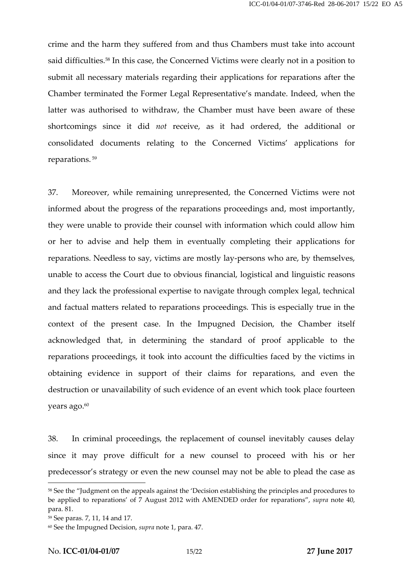crime and the harm they suffered from and thus Chambers must take into account said difficulties.<sup>58</sup> In this case, the Concerned Victims were clearly not in a position to submit all necessary materials regarding their applications for reparations after the Chamber terminated the Former Legal Representative's mandate. Indeed, when the latter was authorised to withdraw, the Chamber must have been aware of these shortcomings since it did *not* receive, as it had ordered, the additional or consolidated documents relating to the Concerned Victims' applications for reparations. <sup>59</sup>

37. Moreover, while remaining unrepresented, the Concerned Victims were not informed about the progress of the reparations proceedings and, most importantly, they were unable to provide their counsel with information which could allow him or her to advise and help them in eventually completing their applications for reparations. Needless to say, victims are mostly lay-persons who are, by themselves, unable to access the Court due to obvious financial, logistical and linguistic reasons and they lack the professional expertise to navigate through complex legal, technical and factual matters related to reparations proceedings. This is especially true in the context of the present case. In the Impugned Decision, the Chamber itself acknowledged that, in determining the standard of proof applicable to the reparations proceedings, it took into account the difficulties faced by the victims in obtaining evidence in support of their claims for reparations, and even the destruction or unavailability of such evidence of an event which took place fourteen years ago.<sup>60</sup>

38. In criminal proceedings, the replacement of counsel inevitably causes delay since it may prove difficult for a new counsel to proceed with his or her predecessor's strategy or even the new counsel may not be able to plead the case as

<sup>58</sup> See the "Judgment on the appeals against the 'Decision establishing the principles and procedures to be applied to reparations' of 7 August 2012 with AMENDED order for reparations", *supra* note 40, para. 81.

<sup>59</sup> See paras. 7, 11, 14 and 17.

<sup>60</sup> See the Impugned Decision, *supra* note 1, para. 47.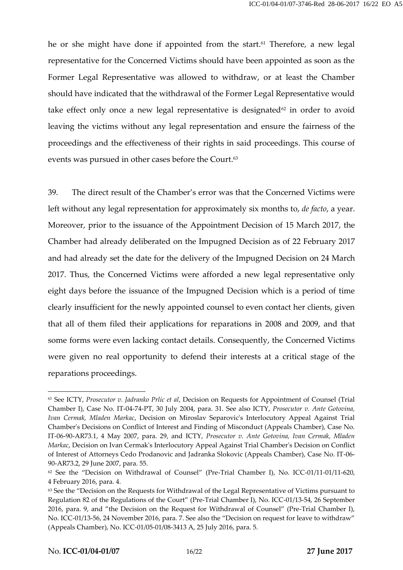he or she might have done if appointed from the start.<sup>61</sup> Therefore, a new legal representative for the Concerned Victims should have been appointed as soon as the Former Legal Representative was allowed to withdraw, or at least the Chamber should have indicated that the withdrawal of the Former Legal Representative would take effect only once a new legal representative is designated $62$  in order to avoid leaving the victims without any legal representation and ensure the fairness of the proceedings and the effectiveness of their rights in said proceedings. This course of events was pursued in other cases before the Court.<sup>63</sup>

39. The direct result of the Chamber's error was that the Concerned Victims were left without any legal representation for approximately six months to, *de facto*, a year. Moreover, prior to the issuance of the Appointment Decision of 15 March 2017, the Chamber had already deliberated on the Impugned Decision as of 22 February 2017 and had already set the date for the delivery of the Impugned Decision on 24 March 2017. Thus, the Concerned Victims were afforded a new legal representative only eight days before the issuance of the Impugned Decision which is a period of time clearly insufficient for the newly appointed counsel to even contact her clients, given that all of them filed their applications for reparations in 2008 and 2009, and that some forms were even lacking contact details. Consequently, the Concerned Victims were given no real opportunity to defend their interests at a critical stage of the reparations proceedings.

<sup>61</sup> See ICTY, *Prosecutor v. Jadranko Prlic et al*, Decision on Requests for Appointment of Counsel (Trial Chamber I), Case No. IT-04-74-PT, 30 July 2004, para. 31. See also ICTY, *Prosecutor v. Ante Gotovina, Ivan Cermak, Mladen Markac*, Decision on Miroslav Separovic's Interlocutory Appeal Against Trial Chamber's Decisions on Conflict of Interest and Finding of Misconduct (Appeals Chamber), Case No. IT-06-90-AR73.1, 4 May 2007, para. 29, and ICTY, *Prosecutor v. Ante Gotovina, Ivan Cermak, Mladen Markac*, Decision on Ivan Cermak's Interlocutory Appeal Against Trial Chamber's Decision on Conflict of Interest of Attorneys Cedo Prodanovic and Jadranka Slokovic (Appeals Chamber), Case No. IT-06- 90-AR73.2, 29 June 2007, para. 55.

 $62$  See the "Decision on Withdrawal of Counsel" (Pre-Trial Chamber I), No. ICC-01/11-01/11-620, 4 February 2016, para. 4.

<sup>&</sup>lt;sup>63</sup> See the "Decision on the Requests for Withdrawal of the Legal Representative of Victims pursuant to Regulation 82 of the Regulations of the Court" (Pre-Trial Chamber I), No. ICC-01/13-54, 26 September 2016, para. 9, and "the Decision on the Request for Withdrawal of Counsel" (Pre-Trial Chamber I), No. ICC-01/13-56, 24 November 2016, para. 7. See also the "Decision on request for leave to withdraw" (Appeals Chamber), No. ICC-01/05-01/08-3413 A, 25 July 2016, para. 5.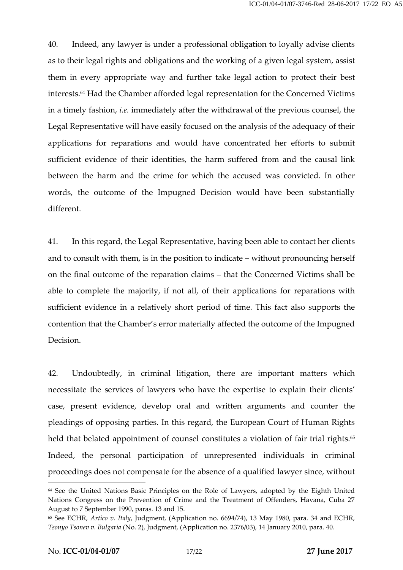40. Indeed, any lawyer is under a professional obligation to loyally advise clients as to their legal rights and obligations and the working of a given legal system, assist them in every appropriate way and further take legal action to protect their best interests.<sup>64</sup> Had the Chamber afforded legal representation for the Concerned Victims in a timely fashion, *i.e.* immediately after the withdrawal of the previous counsel, the Legal Representative will have easily focused on the analysis of the adequacy of their applications for reparations and would have concentrated her efforts to submit sufficient evidence of their identities, the harm suffered from and the causal link between the harm and the crime for which the accused was convicted. In other words, the outcome of the Impugned Decision would have been substantially different.

41. In this regard, the Legal Representative, having been able to contact her clients and to consult with them, is in the position to indicate – without pronouncing herself on the final outcome of the reparation claims – that the Concerned Victims shall be able to complete the majority, if not all, of their applications for reparations with sufficient evidence in a relatively short period of time. This fact also supports the contention that the Chamber's error materially affected the outcome of the Impugned Decision.

42. Undoubtedly, in criminal litigation, there are important matters which necessitate the services of lawyers who have the expertise to explain their clients' case, present evidence, develop oral and written arguments and counter the pleadings of opposing parties. In this regard, the European Court of Human Rights held that belated appointment of counsel constitutes a violation of fair trial rights.<sup>65</sup> Indeed, the personal participation of unrepresented individuals in criminal proceedings does not compensate for the absence of a qualified lawyer since, without

<sup>&</sup>lt;sup>64</sup> See the United Nations Basic Principles on the Role of Lawyers, adopted by the Eighth United Nations Congress on the Prevention of Crime and the Treatment of Offenders, Havana, Cuba 27 August to 7 September 1990, paras. 13 and 15.

<sup>65</sup> See ECHR, *Artico v. Italy*, Judgment, (Application no. 6694/74), 13 May 1980, para. 34 and ECHR, *Tsonyo Tsonev v. Bulgaria* (No. 2), Judgment, (Application no. 2376/03), 14 January 2010, para. 40.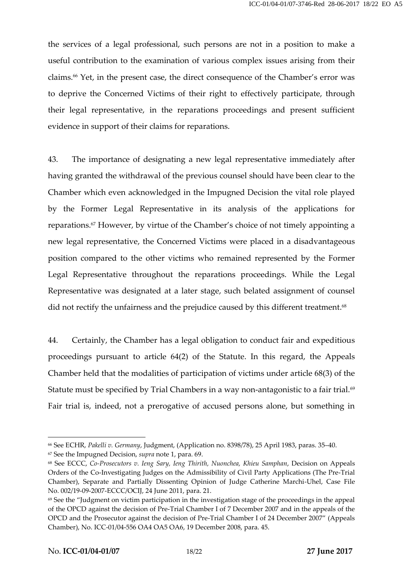the services of a legal professional, such persons are not in a position to make a useful contribution to the examination of various complex issues arising from their claims.<sup>66</sup> Yet, in the present case, the direct consequence of the Chamber's error was to deprive the Concerned Victims of their right to effectively participate, through their legal representative, in the reparations proceedings and present sufficient evidence in support of their claims for reparations.

43. The importance of designating a new legal representative immediately after having granted the withdrawal of the previous counsel should have been clear to the Chamber which even acknowledged in the Impugned Decision the vital role played by the Former Legal Representative in its analysis of the applications for reparations.<sup>67</sup> However, by virtue of the Chamber's choice of not timely appointing a new legal representative, the Concerned Victims were placed in a disadvantageous position compared to the other victims who remained represented by the Former Legal Representative throughout the reparations proceedings. While the Legal Representative was designated at a later stage, such belated assignment of counsel did not rectify the unfairness and the prejudice caused by this different treatment.<sup>68</sup>

44. Certainly, the Chamber has a legal obligation to conduct fair and expeditious proceedings pursuant to article 64(2) of the Statute. In this regard, the Appeals Chamber held that the modalities of participation of victims under article 68(3) of the Statute must be specified by Trial Chambers in a way non-antagonistic to a fair trial.<sup>69</sup> Fair trial is, indeed, not a prerogative of accused persons alone, but something in

<sup>66</sup> See ECHR, *Pakelli v. Germany*, Judgment, (Application no. 8398/78), 25 April 1983, paras. 35–40.

<sup>67</sup> See the Impugned Decision, *supra* note 1, para. 69.

<sup>68</sup> See ECCC, *Co-Prosecutors v. Ieng Sary, Ieng Thirith, Nuonchea, Khieu Samphan*, Decision on Appeals Orders of the Co-Investigating Judges on the Admissibility of Civil Party Applications (The Pre-Trial Chamber), Separate and Partially Dissenting Opinion of Judge Catherine Marchi-Uhel, Case File No. 002/19-09-2007-ECCC/OCIJ, 24 June 2011, para. 21.

<sup>69</sup> See the "Judgment on victim participation in the investigation stage of the proceedings in the appeal of the OPCD against the decision of Pre-Trial Chamber I of 7 December 2007 and in the appeals of the OPCD and the Prosecutor against the decision of Pre-Trial Chamber I of 24 December 2007" (Appeals Chamber), No. ICC-01/04-556 OA4 OA5 OA6, 19 December 2008, para. 45.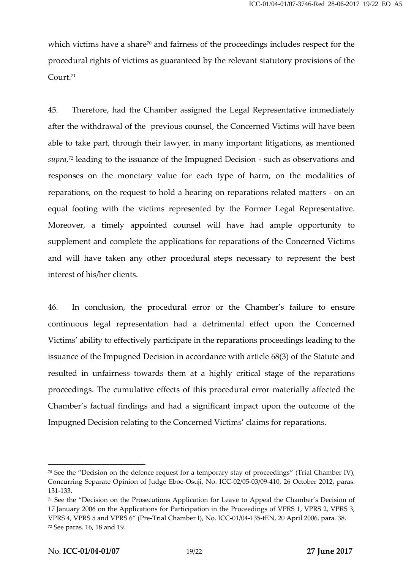which victims have a share<sup>70</sup> and fairness of the proceedings includes respect for the procedural rights of victims as guaranteed by the relevant statutory provisions of the Court.<sup>71</sup>

45. Therefore, had the Chamber assigned the Legal Representative immediately after the withdrawal of the previous counsel, the Concerned Victims will have been able to take part, through their lawyer, in many important litigations, as mentioned *supra*,<sup>72</sup> leading to the issuance of the Impugned Decision - such as observations and responses on the monetary value for each type of harm, on the modalities of reparations, on the request to hold a hearing on reparations related matters - on an equal footing with the victims represented by the Former Legal Representative. Moreover, a timely appointed counsel will have had ample opportunity to supplement and complete the applications for reparations of the Concerned Victims and will have taken any other procedural steps necessary to represent the best interest of his/her clients.

46. In conclusion, the procedural error or the Chamber's failure to ensure continuous legal representation had a detrimental effect upon the Concerned Victims' ability to effectively participate in the reparations proceedings leading to the issuance of the Impugned Decision in accordance with article 68(3) of the Statute and resulted in unfairness towards them at a highly critical stage of the reparations proceedings. The cumulative effects of this procedural error materially affected the Chamber's factual findings and had a significant impact upon the outcome of the Impugned Decision relating to the Concerned Victims' claims for reparations.

 $70$  See the "Decision on the defence request for a temporary stay of proceedings" (Trial Chamber IV), Concurring Separate Opinion of Judge Eboe-Osuji, No. ICC-02/05-03/09-410, 26 October 2012, paras. 131-133.

<sup>71</sup> See the "Decision on the Prosecutions Application for Leave to Appeal the Chamber's Decision of 17 January 2006 on the Applications for Participation in the Proceedings of VPRS 1, VPRS 2, VPRS 3, VPRS 4, VPRS 5 and VPRS 6" (Pre-Trial Chamber I), No. ICC-01/04-135-tEN, 20 April 2006, para. 38. <sup>72</sup> See paras. 16, 18 and 19.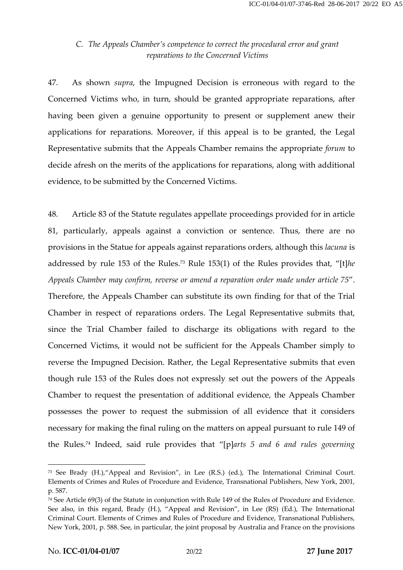# *C. The Appeals Chamber's competence to correct the procedural error and grant reparations to the Concerned Victims*

47. As shown *supra*, the Impugned Decision is erroneous with regard to the Concerned Victims who, in turn, should be granted appropriate reparations, after having been given a genuine opportunity to present or supplement anew their applications for reparations. Moreover, if this appeal is to be granted, the Legal Representative submits that the Appeals Chamber remains the appropriate *forum* to decide afresh on the merits of the applications for reparations, along with additional evidence, to be submitted by the Concerned Victims.

48. Article 83 of the Statute regulates appellate proceedings provided for in article 81, particularly, appeals against a conviction or sentence. Thus, there are no provisions in the Statue for appeals against reparations orders, although this *lacuna* is addressed by rule 153 of the Rules.<sup>73</sup> Rule 153(1) of the Rules provides that, "[t]*he Appeals Chamber may confirm, reverse or amend a reparation order made under article 75*". Therefore, the Appeals Chamber can substitute its own finding for that of the Trial Chamber in respect of reparations orders. The Legal Representative submits that, since the Trial Chamber failed to discharge its obligations with regard to the Concerned Victims, it would not be sufficient for the Appeals Chamber simply to reverse the Impugned Decision. Rather, the Legal Representative submits that even though rule 153 of the Rules does not expressly set out the powers of the Appeals Chamber to request the presentation of additional evidence, the Appeals Chamber possesses the power to request the submission of all evidence that it considers necessary for making the final ruling on the matters on appeal pursuant to rule 149 of the Rules.<sup>74</sup> Indeed, said rule provides that "[p]*arts 5 and 6 and rules governing*

<sup>&</sup>lt;sup>73</sup> See Brady (H.),"Appeal and Revision", in Lee (R.S.) (ed.), The International Criminal Court. Elements of Crimes and Rules of Procedure and Evidence, Transnational Publishers, New York, 2001, p. 587.

<sup>74</sup> See Article 69(3) of the Statute in conjunction with Rule 149 of the Rules of Procedure and Evidence. See also, in this regard, Brady (H.), "Appeal and Revision", in Lee (RS) (Ed.), The International Criminal Court. Elements of Crimes and Rules of Procedure and Evidence, Transnational Publishers, New York, 2001, p. 588. See, in particular, the joint proposal by Australia and France on the provisions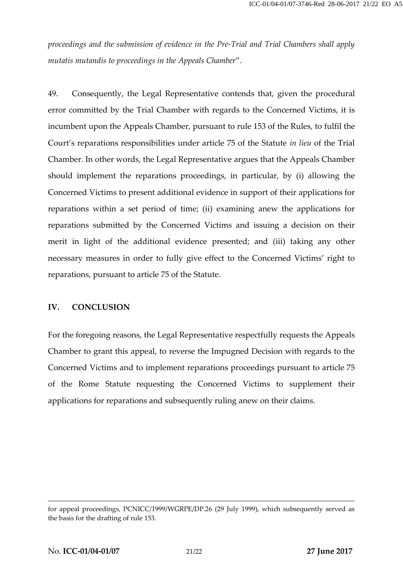*proceedings and the submission of evidence in the Pre-Trial and Trial Chambers shall apply mutatis mutandis to proceedings in the Appeals Chamber*".

49. Consequently, the Legal Representative contends that, given the procedural error committed by the Trial Chamber with regards to the Concerned Victims, it is incumbent upon the Appeals Chamber, pursuant to rule 153 of the Rules, to fulfil the Court's reparations responsibilities under article 75 of the Statute *in lieu* of the Trial Chamber. In other words, the Legal Representative argues that the Appeals Chamber should implement the reparations proceedings, in particular, by (i) allowing the Concerned Victims to present additional evidence in support of their applications for reparations within a set period of time; (ii) examining anew the applications for reparations submitted by the Concerned Victims and issuing a decision on their merit in light of the additional evidence presented; and (iii) taking any other necessary measures in order to fully give effect to the Concerned Victims' right to reparations, pursuant to article 75 of the Statute.

## **IV. CONCLUSION**

For the foregoing reasons, the Legal Representative respectfully requests the Appeals Chamber to grant this appeal, to reverse the Impugned Decision with regards to the Concerned Victims and to implement reparations proceedings pursuant to article 75 of the Rome Statute requesting the Concerned Victims to supplement their applications for reparations and subsequently ruling anew on their claims.

for appeal proceedings, PCNICC/1999/WGRPE/DP.26 (29 July 1999), which subsequently served as the basis for the drafting of rule 153.